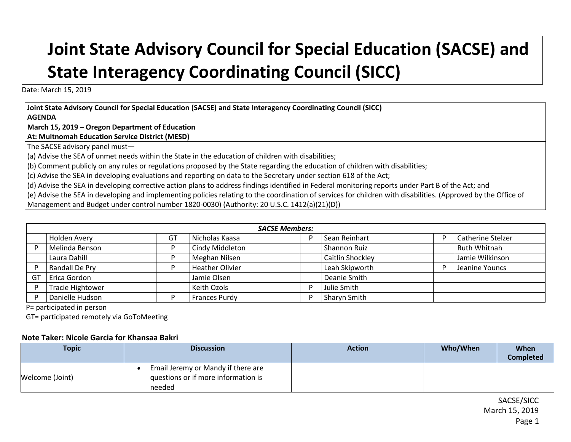## **Joint State Advisory Council for Special Education (SACSE) and State Interagency Coordinating Council (SICC)**

Date: March 15, 2019

**Joint State Advisory Council for Special Education (SACSE) and State Interagency Coordinating Council (SICC) AGENDA**

**March 15, 2019 – Oregon Department of Education**

**At: Multnomah Education Service District (MESD)**

The SACSE advisory panel must—

(a) Advise the SEA of unmet needs within the State in the education of children with disabilities;

(b) Comment publicly on any rules or regulations proposed by the State regarding the education of children with disabilities;

(c) Advise the SEA in developing evaluations and reporting on data to the Secretary under section 618 of the Act;

(d) Advise the SEA in developing corrective action plans to address findings identified in Federal monitoring reports under Part B of the Act; and

(e) Advise the SEA in developing and implementing policies relating to the coordination of services for children with disabilities. (Approved by the Office of

Management and Budget under control number 1820-0030) (Authority: 20 U.S.C. 1412(a)(21)(D))

|    | <b>SACSE Members:</b>   |                |                        |   |                  |   |                          |
|----|-------------------------|----------------|------------------------|---|------------------|---|--------------------------|
|    | Holden Avery            | G <sub>1</sub> | Nicholas Kaasa         |   | Sean Reinhart    | D | <b>Catherine Stelzer</b> |
|    | Melinda Benson          | D              | Cindy Middleton        |   | Shannon Ruiz     |   | Ruth Whitnah             |
|    | Laura Dahill            | D              | Meghan Nilsen          |   | Caitlin Shockley |   | Jamie Wilkinson          |
| D  | Randall De Pry          | D              | <b>Heather Olivier</b> |   | Leah Skipworth   | D | Jeanine Youncs           |
| GT | Erica Gordon            |                | Jamie Olsen            |   | Deanie Smith     |   |                          |
| D  | <b>Tracie Hightower</b> |                | Keith Ozols            | D | Julie Smith      |   |                          |
| D  | Danielle Hudson         | D              | <b>Frances Purdy</b>   |   | Sharyn Smith     |   |                          |

P= participated in person

GT= participated remotely via GoToMeeting

## **Note Taker: Nicole Garcia for Khansaa Bakri**

| <b>Topic</b>    | <b>Discussion</b>                   | <b>Action</b> | Who/When | When             |
|-----------------|-------------------------------------|---------------|----------|------------------|
|                 |                                     |               |          | <b>Completed</b> |
|                 | Email Jeremy or Mandy if there are  |               |          |                  |
| Welcome (Joint) | questions or if more information is |               |          |                  |
|                 | needed                              |               |          |                  |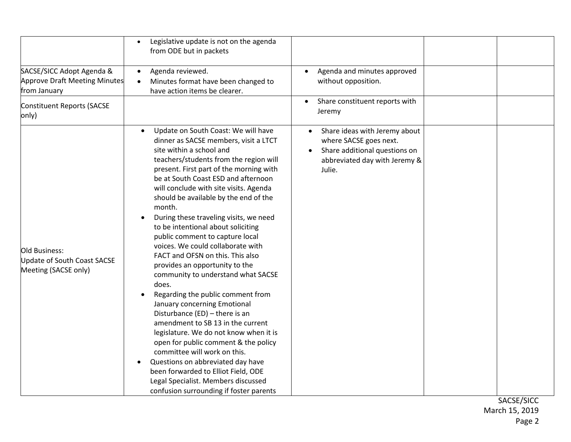|                                                                            | Legislative update is not on the agenda<br>from ODE but in packets                                                                                                                                                                                                                                                                                                                                                                                                                                                                                                                                                                                                                                                                                                                                                                                                                                                                                                                                                                                      |                                                                                                                                     |  |
|----------------------------------------------------------------------------|---------------------------------------------------------------------------------------------------------------------------------------------------------------------------------------------------------------------------------------------------------------------------------------------------------------------------------------------------------------------------------------------------------------------------------------------------------------------------------------------------------------------------------------------------------------------------------------------------------------------------------------------------------------------------------------------------------------------------------------------------------------------------------------------------------------------------------------------------------------------------------------------------------------------------------------------------------------------------------------------------------------------------------------------------------|-------------------------------------------------------------------------------------------------------------------------------------|--|
| SACSE/SICC Adopt Agenda &<br>Approve Draft Meeting Minutes<br>from January | Agenda reviewed.<br>$\bullet$<br>Minutes format have been changed to<br>$\bullet$<br>have action items be clearer.                                                                                                                                                                                                                                                                                                                                                                                                                                                                                                                                                                                                                                                                                                                                                                                                                                                                                                                                      | Agenda and minutes approved<br>$\bullet$<br>without opposition.                                                                     |  |
| Constituent Reports (SACSE<br>only)                                        |                                                                                                                                                                                                                                                                                                                                                                                                                                                                                                                                                                                                                                                                                                                                                                                                                                                                                                                                                                                                                                                         | Share constituent reports with<br>Jeremy                                                                                            |  |
| Old Business:<br>Update of South Coast SACSE<br>Meeting (SACSE only)       | Update on South Coast: We will have<br>$\bullet$<br>dinner as SACSE members, visit a LTCT<br>site within a school and<br>teachers/students from the region will<br>present. First part of the morning with<br>be at South Coast ESD and afternoon<br>will conclude with site visits. Agenda<br>should be available by the end of the<br>month.<br>During these traveling visits, we need<br>to be intentional about soliciting<br>public comment to capture local<br>voices. We could collaborate with<br>FACT and OFSN on this. This also<br>provides an opportunity to the<br>community to understand what SACSE<br>does.<br>Regarding the public comment from<br>January concerning Emotional<br>Disturbance (ED) - there is an<br>amendment to SB 13 in the current<br>legislature. We do not know when it is<br>open for public comment & the policy<br>committee will work on this.<br>Questions on abbreviated day have<br>been forwarded to Elliot Field, ODE<br>Legal Specialist. Members discussed<br>confusion surrounding if foster parents | Share ideas with Jeremy about<br>where SACSE goes next.<br>Share additional questions on<br>abbreviated day with Jeremy &<br>Julie. |  |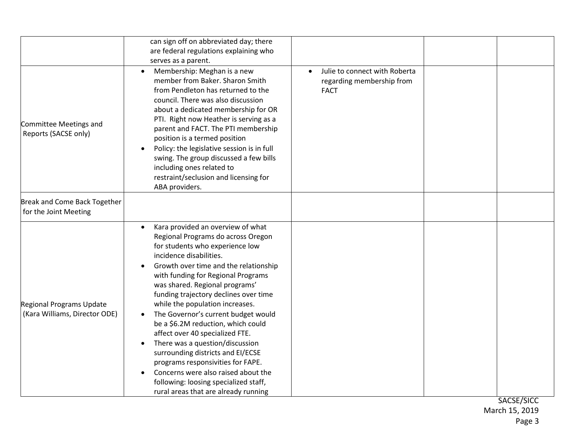|                                                           | can sign off on abbreviated day; there<br>are federal regulations explaining who<br>serves as a parent.                                                                                                                                                                                                                                                                                                                                                                                                                                                                                                                                                                                              |                                                                                        |  |
|-----------------------------------------------------------|------------------------------------------------------------------------------------------------------------------------------------------------------------------------------------------------------------------------------------------------------------------------------------------------------------------------------------------------------------------------------------------------------------------------------------------------------------------------------------------------------------------------------------------------------------------------------------------------------------------------------------------------------------------------------------------------------|----------------------------------------------------------------------------------------|--|
| Committee Meetings and<br>Reports (SACSE only)            | Membership: Meghan is a new<br>member from Baker. Sharon Smith<br>from Pendleton has returned to the<br>council. There was also discussion<br>about a dedicated membership for OR<br>PTI. Right now Heather is serving as a<br>parent and FACT. The PTI membership<br>position is a termed position<br>Policy: the legislative session is in full<br>swing. The group discussed a few bills<br>including ones related to<br>restraint/seclusion and licensing for<br>ABA providers.                                                                                                                                                                                                                  | Julie to connect with Roberta<br>$\bullet$<br>regarding membership from<br><b>FACT</b> |  |
| Break and Come Back Together<br>for the Joint Meeting     |                                                                                                                                                                                                                                                                                                                                                                                                                                                                                                                                                                                                                                                                                                      |                                                                                        |  |
| Regional Programs Update<br>(Kara Williams, Director ODE) | Kara provided an overview of what<br>$\bullet$<br>Regional Programs do across Oregon<br>for students who experience low<br>incidence disabilities.<br>Growth over time and the relationship<br>with funding for Regional Programs<br>was shared. Regional programs'<br>funding trajectory declines over time<br>while the population increases.<br>The Governor's current budget would<br>be a \$6.2M reduction, which could<br>affect over 40 specialized FTE.<br>There was a question/discussion<br>surrounding districts and EI/ECSE<br>programs responsivities for FAPE.<br>Concerns were also raised about the<br>following: loosing specialized staff,<br>rural areas that are already running |                                                                                        |  |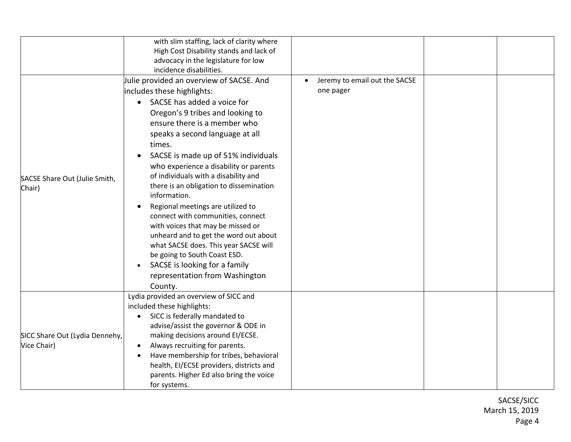|                                               | with slim staffing, lack of clarity where<br>High Cost Disability stands and lack of<br>advocacy in the legislature for low<br>incidence disabilities.                                                                                                                                                                                                                                                                                                                                                                                                                                                                                                                                                                                 |                                                         |  |
|-----------------------------------------------|----------------------------------------------------------------------------------------------------------------------------------------------------------------------------------------------------------------------------------------------------------------------------------------------------------------------------------------------------------------------------------------------------------------------------------------------------------------------------------------------------------------------------------------------------------------------------------------------------------------------------------------------------------------------------------------------------------------------------------------|---------------------------------------------------------|--|
| SACSE Share Out (Julie Smith,<br>Chair)       | Julie provided an overview of SACSE. And<br>includes these highlights:<br>SACSE has added a voice for<br>Oregon's 9 tribes and looking to<br>ensure there is a member who<br>speaks a second language at all<br>times.<br>SACSE is made up of 51% individuals<br>$\bullet$<br>who experience a disability or parents<br>of individuals with a disability and<br>there is an obligation to dissemination<br>information.<br>Regional meetings are utilized to<br>connect with communities, connect<br>with voices that may be missed or<br>unheard and to get the word out about<br>what SACSE does. This year SACSE will<br>be going to South Coast ESD.<br>SACSE is looking for a family<br>representation from Washington<br>County. | Jeremy to email out the SACSE<br>$\bullet$<br>one pager |  |
| SICC Share Out (Lydia Dennehy,<br>Vice Chair) | Lydia provided an overview of SICC and<br>included these highlights:<br>SICC is federally mandated to<br>advise/assist the governor & ODE in<br>making decisions around EI/ECSE.<br>Always recruiting for parents.<br>$\bullet$<br>Have membership for tribes, behavioral<br>health, EI/ECSE providers, districts and<br>parents. Higher Ed also bring the voice<br>for systems.                                                                                                                                                                                                                                                                                                                                                       |                                                         |  |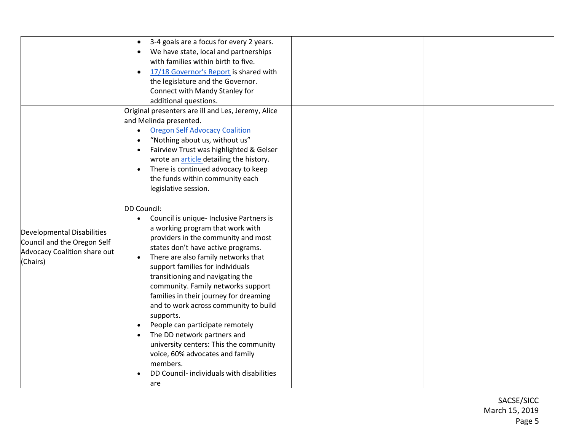|                              | 3-4 goals are a focus for every 2 years.           |
|------------------------------|----------------------------------------------------|
|                              | We have state, local and partnerships              |
|                              | with families within birth to five.                |
|                              | 17/18 Governor's Report is shared with             |
|                              | the legislature and the Governor.                  |
|                              | Connect with Mandy Stanley for                     |
|                              |                                                    |
|                              | additional questions.                              |
|                              | Original presenters are ill and Les, Jeremy, Alice |
|                              | and Melinda presented.                             |
|                              | <b>Oregon Self Advocacy Coalition</b>              |
|                              | "Nothing about us, without us"                     |
|                              | Fairview Trust was highlighted & Gelser            |
|                              | wrote an article detailing the history.            |
|                              | There is continued advocacy to keep                |
|                              | the funds within community each                    |
|                              | legislative session.                               |
|                              |                                                    |
|                              | DD Council:                                        |
|                              |                                                    |
|                              | Council is unique- Inclusive Partners is           |
| Developmental Disabilities   | a working program that work with                   |
| Council and the Oregon Self  | providers in the community and most                |
| Advocacy Coalition share out | states don't have active programs.                 |
| (Chairs)                     | There are also family networks that<br>$\bullet$   |
|                              | support families for individuals                   |
|                              | transitioning and navigating the                   |
|                              | community. Family networks support                 |
|                              | families in their journey for dreaming             |
|                              | and to work across community to build              |
|                              | supports.                                          |
|                              | People can participate remotely                    |
|                              | The DD network partners and                        |
|                              |                                                    |
|                              | university centers: This the community             |
|                              | voice, 60% advocates and family                    |
|                              | members.                                           |
|                              | DD Council- individuals with disabilities          |
|                              | are                                                |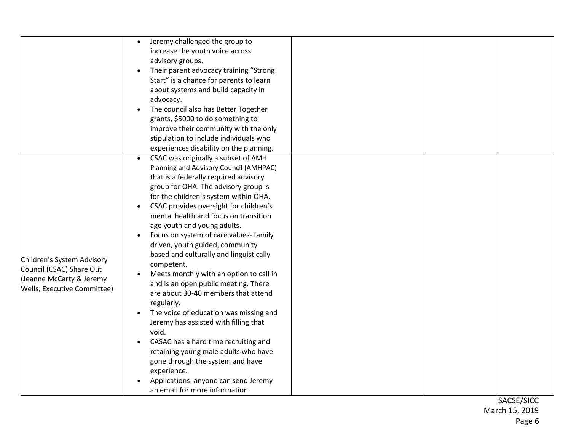|                                                                                                                   | Jeremy challenged the group to<br>increase the youth voice across<br>advisory groups.<br>Their parent advocacy training "Strong<br>Start" is a chance for parents to learn<br>about systems and build capacity in<br>advocacy.<br>The council also has Better Together<br>grants, \$5000 to do something to<br>improve their community with the only                                                                                                                                                                                                                                                                                                                                                                                                                                                                                                                                                                                                                     |
|-------------------------------------------------------------------------------------------------------------------|--------------------------------------------------------------------------------------------------------------------------------------------------------------------------------------------------------------------------------------------------------------------------------------------------------------------------------------------------------------------------------------------------------------------------------------------------------------------------------------------------------------------------------------------------------------------------------------------------------------------------------------------------------------------------------------------------------------------------------------------------------------------------------------------------------------------------------------------------------------------------------------------------------------------------------------------------------------------------|
|                                                                                                                   | stipulation to include individuals who                                                                                                                                                                                                                                                                                                                                                                                                                                                                                                                                                                                                                                                                                                                                                                                                                                                                                                                                   |
| Children's System Advisory<br>Council (CSAC) Share Out<br>(Jeanne McCarty & Jeremy<br>Wells, Executive Committee) | experiences disability on the planning.<br>CSAC was originally a subset of AMH<br>$\bullet$<br>Planning and Advisory Council (AMHPAC)<br>that is a federally required advisory<br>group for OHA. The advisory group is<br>for the children's system within OHA.<br>CSAC provides oversight for children's<br>mental health and focus on transition<br>age youth and young adults.<br>Focus on system of care values- family<br>driven, youth guided, community<br>based and culturally and linguistically<br>competent.<br>Meets monthly with an option to call in<br>and is an open public meeting. There<br>are about 30-40 members that attend<br>regularly.<br>The voice of education was missing and<br>Jeremy has assisted with filling that<br>void.<br>CASAC has a hard time recruiting and<br>retaining young male adults who have<br>gone through the system and have<br>experience.<br>Applications: anyone can send Jeremy<br>an email for more information. |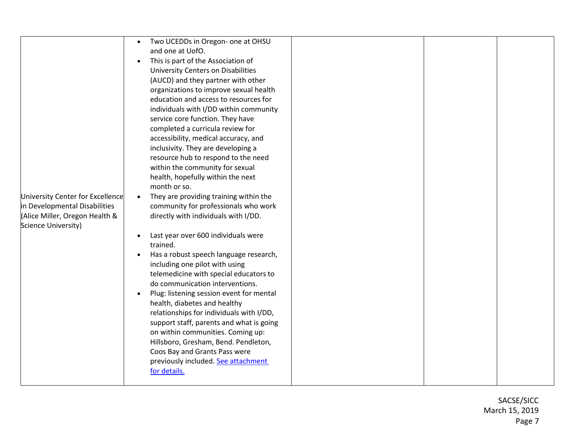|                                  | Two UCEDDs in Oregon- one at OHSU                   |  |
|----------------------------------|-----------------------------------------------------|--|
|                                  | and one at UofO.                                    |  |
|                                  | This is part of the Association of<br>$\bullet$     |  |
|                                  | <b>University Centers on Disabilities</b>           |  |
|                                  |                                                     |  |
|                                  | (AUCD) and they partner with other                  |  |
|                                  | organizations to improve sexual health              |  |
|                                  | education and access to resources for               |  |
|                                  | individuals with I/DD within community              |  |
|                                  | service core function. They have                    |  |
|                                  | completed a curricula review for                    |  |
|                                  |                                                     |  |
|                                  | accessibility, medical accuracy, and                |  |
|                                  | inclusivity. They are developing a                  |  |
|                                  | resource hub to respond to the need                 |  |
|                                  | within the community for sexual                     |  |
|                                  | health, hopefully within the next                   |  |
|                                  | month or so.                                        |  |
| University Center for Excellence | They are providing training within the<br>$\bullet$ |  |
| in Developmental Disabilities    | community for professionals who work                |  |
|                                  |                                                     |  |
| (Alice Miller, Oregon Health &   | directly with individuals with I/DD.                |  |
| Science University)              |                                                     |  |
|                                  | Last year over 600 individuals were                 |  |
|                                  | trained.                                            |  |
|                                  | Has a robust speech language research,              |  |
|                                  | including one pilot with using                      |  |
|                                  | telemedicine with special educators to              |  |
|                                  | do communication interventions.                     |  |
|                                  |                                                     |  |
|                                  | Plug: listening session event for mental            |  |
|                                  | health, diabetes and healthy                        |  |
|                                  | relationships for individuals with I/DD,            |  |
|                                  | support staff, parents and what is going            |  |
|                                  | on within communities. Coming up:                   |  |
|                                  | Hillsboro, Gresham, Bend. Pendleton,                |  |
|                                  | Coos Bay and Grants Pass were                       |  |
|                                  |                                                     |  |
|                                  | previously included. See attachment                 |  |
|                                  | for details.                                        |  |
|                                  |                                                     |  |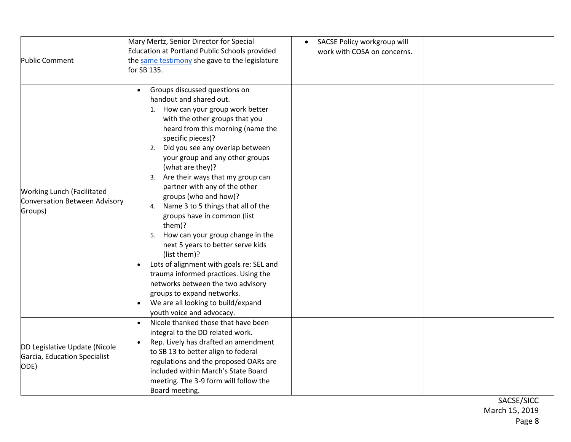| <b>Public Comment</b>                                                         | Mary Mertz, Senior Director for Special<br>Education at Portland Public Schools provided<br>the same testimony she gave to the legislature<br>for SB 135.                                                                                                                                                                                                                                                                                                                                                                                                                                                                                                                                                                                                                                                                 | SACSE Policy workgroup will<br>work with COSA on concerns. |  |
|-------------------------------------------------------------------------------|---------------------------------------------------------------------------------------------------------------------------------------------------------------------------------------------------------------------------------------------------------------------------------------------------------------------------------------------------------------------------------------------------------------------------------------------------------------------------------------------------------------------------------------------------------------------------------------------------------------------------------------------------------------------------------------------------------------------------------------------------------------------------------------------------------------------------|------------------------------------------------------------|--|
| <b>Working Lunch (Facilitated</b><br>Conversation Between Advisory<br>Groups) | Groups discussed questions on<br>handout and shared out.<br>1. How can your group work better<br>with the other groups that you<br>heard from this morning (name the<br>specific pieces)?<br>2. Did you see any overlap between<br>your group and any other groups<br>(what are they)?<br>3. Are their ways that my group can<br>partner with any of the other<br>groups (who and how)?<br>4. Name 3 to 5 things that all of the<br>groups have in common (list<br>them)?<br>5. How can your group change in the<br>next 5 years to better serve kids<br>(list them)?<br>Lots of alignment with goals re: SEL and<br>$\bullet$<br>trauma informed practices. Using the<br>networks between the two advisory<br>groups to expand networks.<br>We are all looking to build/expand<br>$\bullet$<br>youth voice and advocacy. |                                                            |  |
| DD Legislative Update (Nicole<br>Garcia, Education Specialist<br>ODE)         | Nicole thanked those that have been<br>$\bullet$<br>integral to the DD related work.<br>Rep. Lively has drafted an amendment<br>to SB 13 to better align to federal<br>regulations and the proposed OARs are<br>included within March's State Board<br>meeting. The 3-9 form will follow the<br>Board meeting.                                                                                                                                                                                                                                                                                                                                                                                                                                                                                                            |                                                            |  |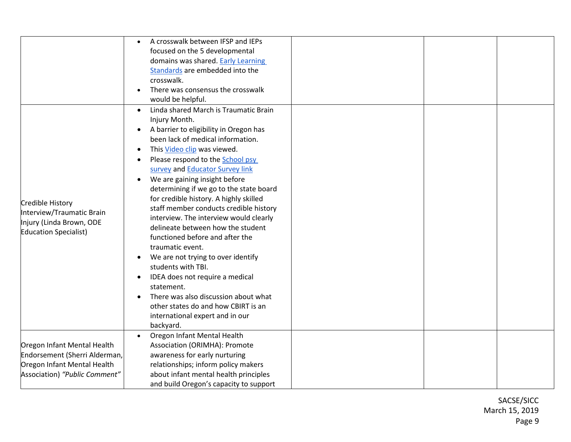|                               | A crosswalk between IFSP and IEPs       |
|-------------------------------|-----------------------------------------|
|                               | focused on the 5 developmental          |
|                               | domains was shared. Early Learning      |
|                               | Standards are embedded into the         |
|                               | crosswalk.                              |
|                               | There was consensus the crosswalk       |
|                               | would be helpful.                       |
|                               | Linda shared March is Traumatic Brain   |
|                               | Injury Month.                           |
|                               | A barrier to eligibility in Oregon has  |
|                               | been lack of medical information.       |
|                               | This Video clip was viewed.             |
|                               | Please respond to the School psy        |
|                               | survey and Educator Survey link         |
|                               | We are gaining insight before           |
|                               |                                         |
|                               | determining if we go to the state board |
| Credible History              | for credible history. A highly skilled  |
| Interview/Traumatic Brain     | staff member conducts credible history  |
| Injury (Linda Brown, ODE      | interview. The interview would clearly  |
| <b>Education Specialist)</b>  | delineate between how the student       |
|                               | functioned before and after the         |
|                               | traumatic event.                        |
|                               | We are not trying to over identify      |
|                               | students with TBI.                      |
|                               | IDEA does not require a medical         |
|                               | statement.                              |
|                               | There was also discussion about what    |
|                               | other states do and how CBIRT is an     |
|                               | international expert and in our         |
|                               | backyard.                               |
|                               | Oregon Infant Mental Health             |
| Oregon Infant Mental Health   | Association (ORIMHA): Promote           |
| Endorsement (Sherri Alderman, | awareness for early nurturing           |
| Oregon Infant Mental Health   | relationships; inform policy makers     |
| Association) "Public Comment" |                                         |
|                               | about infant mental health principles   |
|                               | and build Oregon's capacity to support  |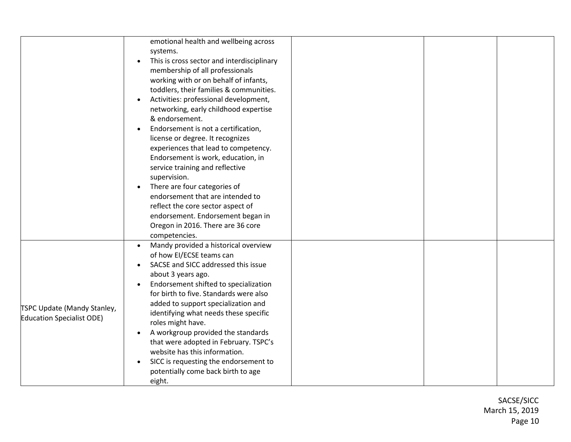|                                  | emotional health and wellbeing across                   |  |  |
|----------------------------------|---------------------------------------------------------|--|--|
|                                  | systems.                                                |  |  |
|                                  | This is cross sector and interdisciplinary<br>$\bullet$ |  |  |
|                                  | membership of all professionals                         |  |  |
|                                  | working with or on behalf of infants,                   |  |  |
|                                  | toddlers, their families & communities.                 |  |  |
|                                  | Activities: professional development,                   |  |  |
|                                  | networking, early childhood expertise                   |  |  |
|                                  | & endorsement.                                          |  |  |
|                                  | Endorsement is not a certification,                     |  |  |
|                                  | license or degree. It recognizes                        |  |  |
|                                  | experiences that lead to competency.                    |  |  |
|                                  | Endorsement is work, education, in                      |  |  |
|                                  | service training and reflective                         |  |  |
|                                  | supervision.                                            |  |  |
|                                  | There are four categories of                            |  |  |
|                                  | endorsement that are intended to                        |  |  |
|                                  | reflect the core sector aspect of                       |  |  |
|                                  | endorsement. Endorsement began in                       |  |  |
|                                  | Oregon in 2016. There are 36 core                       |  |  |
|                                  |                                                         |  |  |
|                                  | competencies.                                           |  |  |
|                                  | Mandy provided a historical overview<br>$\bullet$       |  |  |
|                                  | of how EI/ECSE teams can                                |  |  |
|                                  | SACSE and SICC addressed this issue                     |  |  |
|                                  | about 3 years ago.                                      |  |  |
|                                  | Endorsement shifted to specialization                   |  |  |
|                                  | for birth to five. Standards were also                  |  |  |
| TSPC Update (Mandy Stanley,      | added to support specialization and                     |  |  |
| <b>Education Specialist ODE)</b> | identifying what needs these specific                   |  |  |
|                                  | roles might have.                                       |  |  |
|                                  | A workgroup provided the standards                      |  |  |
|                                  | that were adopted in February. TSPC's                   |  |  |
|                                  | website has this information.                           |  |  |
|                                  | SICC is requesting the endorsement to                   |  |  |
|                                  | potentially come back birth to age                      |  |  |
|                                  | eight.                                                  |  |  |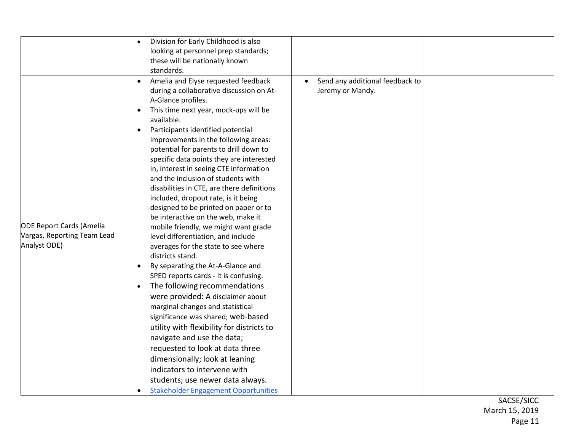|                                                                                | Division for Early Childhood is also<br>looking at personnel prep standards;<br>these will be nationally known<br>standards.                                                                                                                                                                                                                                                                                                                                                                                                                                                                                                                                                                                                                                                                                                                                                                                                                                                                                                                                                                                                                                                                                                                            |                                                                  |  |
|--------------------------------------------------------------------------------|---------------------------------------------------------------------------------------------------------------------------------------------------------------------------------------------------------------------------------------------------------------------------------------------------------------------------------------------------------------------------------------------------------------------------------------------------------------------------------------------------------------------------------------------------------------------------------------------------------------------------------------------------------------------------------------------------------------------------------------------------------------------------------------------------------------------------------------------------------------------------------------------------------------------------------------------------------------------------------------------------------------------------------------------------------------------------------------------------------------------------------------------------------------------------------------------------------------------------------------------------------|------------------------------------------------------------------|--|
| <b>ODE Report Cards (Amelia</b><br>Vargas, Reporting Team Lead<br>Analyst ODE) | Amelia and Elyse requested feedback<br>$\bullet$<br>during a collaborative discussion on At-<br>A-Glance profiles.<br>This time next year, mock-ups will be<br>available.<br>Participants identified potential<br>improvements in the following areas:<br>potential for parents to drill down to<br>specific data points they are interested<br>in, interest in seeing CTE information<br>and the inclusion of students with<br>disabilities in CTE, are there definitions<br>included, dropout rate, is it being<br>designed to be printed on paper or to<br>be interactive on the web, make it<br>mobile friendly, we might want grade<br>level differentiation, and include<br>averages for the state to see where<br>districts stand.<br>By separating the At-A-Glance and<br>SPED reports cards - it is confusing.<br>The following recommendations<br>were provided: A disclaimer about<br>marginal changes and statistical<br>significance was shared; web-based<br>utility with flexibility for districts to<br>navigate and use the data;<br>requested to look at data three<br>dimensionally; look at leaning<br>indicators to intervene with<br>students; use newer data always.<br><b>Stakeholder Engagement Opportunities</b><br>$\bullet$ | Send any additional feedback to<br>$\bullet$<br>Jeremy or Mandy. |  |